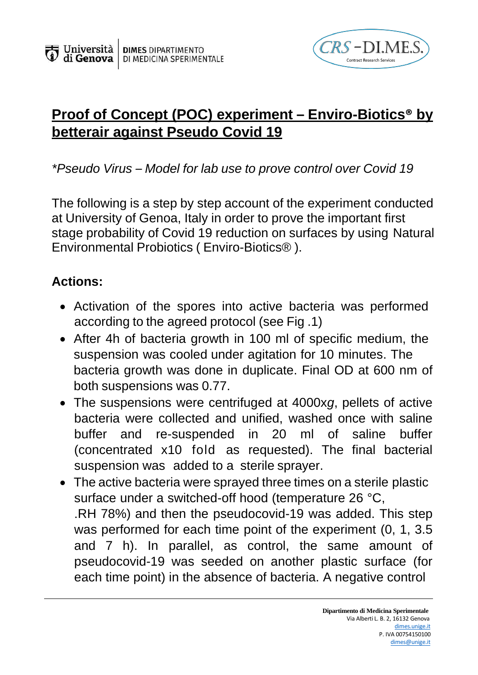

## **Proof of Concept (POC) experiment – Enviro-Biotics® by betterair against Pseudo Covid 19**

*\*Pseudo Virus – Model for lab use to prove control over Covid 19*

The following is a step by step account of the experiment conducted at University of Genoa, Italy in order to prove the important first stage probability of Covid 19 reduction on surfaces by using Natural Environmental Probiotics ( Enviro-Biotics® ).

## **Actions:**

- Activation of the spores into active bacteria was performed according to the agreed protocol (see Fig .1)
- After 4h of bacteria growth in 100 ml of specific medium, the suspension was cooled under agitation for 10 minutes. The bacteria growth was done in duplicate. Final OD at 600 nm of both suspensions was 0.77.
- The suspensions were centrifuged at 4000x*g*, pellets of active bacteria were collected and unified, washed once with saline buffer and re-suspended in 20 ml of saline buffer (concentrated x10 fold as requested). The final bacterial suspension was added to a sterile sprayer.
- The active bacteria were sprayed three times on a sterile plastic surface under a switched-off hood (temperature 26 °C, .RH 78%) and then the pseudocovid-19 was added. This step was performed for each time point of the experiment (0, 1, 3.5) and 7 h). In parallel, as control, the same amount of pseudocovid-19 was seeded on another plastic surface (for each time point) in the absence of bacteria. A negative control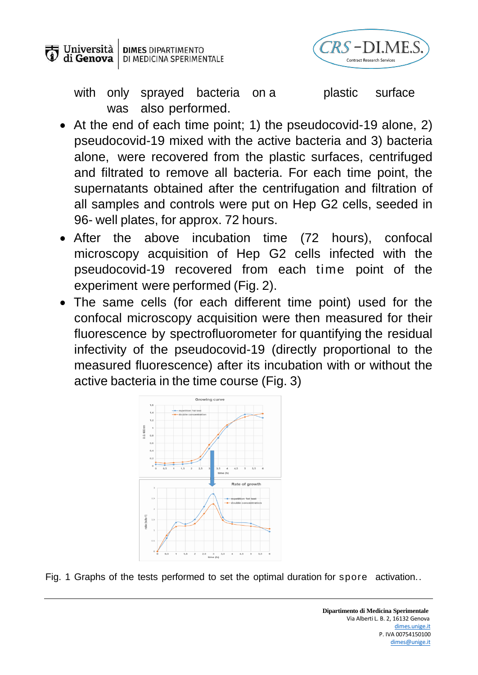



with only sprayed bacteria on a blastic surface was also performed.

- At the end of each time point; 1) the pseudocovid-19 alone, 2) pseudocovid-19 mixed with the active bacteria and 3) bacteria alone, were recovered from the plastic surfaces, centrifuged and filtrated to remove all bacteria. For each time point, the supernatants obtained after the centrifugation and filtration of all samples and controls were put on Hep G2 cells, seeded in 96- well plates, for approx. 72 hours.
- After the above incubation time (72 hours), confocal microscopy acquisition of Hep G2 cells infected with the pseudocovid-19 recovered from each time point of the experiment were performed (Fig. 2).
- The same cells (for each different time point) used for the confocal microscopy acquisition were then measured for their fluorescence by spectrofluorometer for quantifying the residual infectivity of the pseudocovid-19 (directly proportional to the measured fluorescence) after its incubation with or without the active bacteria in the time course (Fig. 3)



Fig. 1 Graphs of the tests performed to set the optimal duration for spore activation..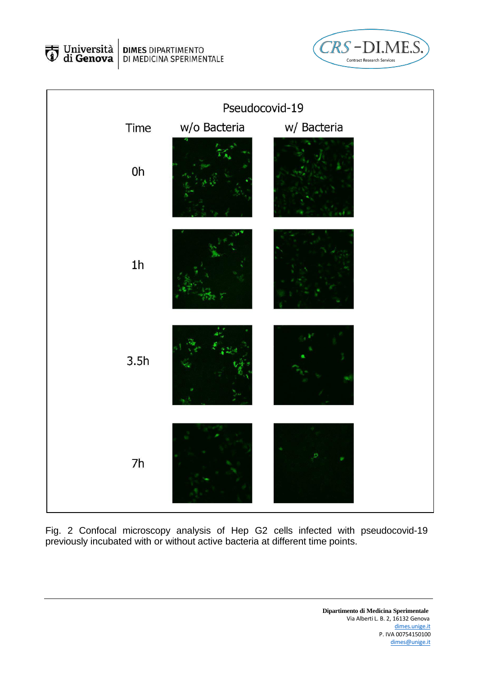Università<br>Università **DIMES** DIPARTIMENTO<br>DI MEDICINA SPERIMENTALE





Fig. 2 Confocal microscopy analysis of Hep G2 cells infected with pseudocovid-19 previously incubated with or without active bacteria at different time points.